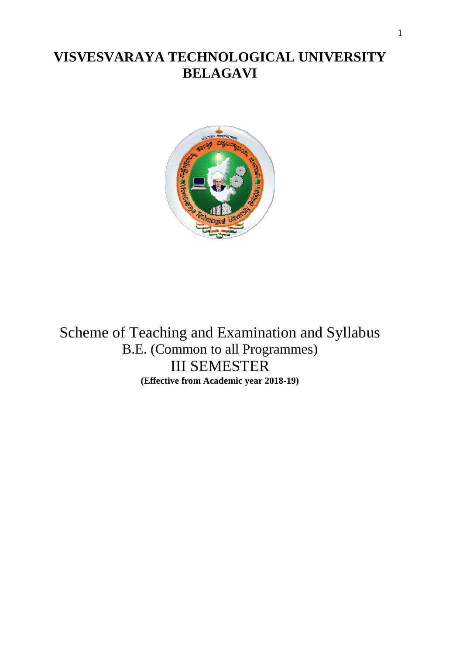# **VISVESVARAYA TECHNOLOGICAL UNIVERSITY BELAGAVI**



Scheme of Teaching and Examination and Syllabus B.E. (Common to all Programmes) III SEMESTER **(Effective from Academic year 2018-19)**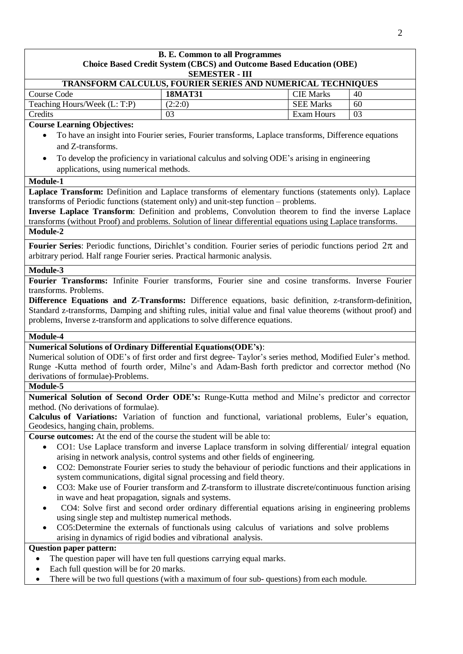| <b>B. E. Common to all Programmes</b>                                                                                                                                                                                                                                                                                                                                                                                                                                                                                                                                                                                                                                                                                                                                                                                                                                                  |                                                                                                      |                   |    |  |
|----------------------------------------------------------------------------------------------------------------------------------------------------------------------------------------------------------------------------------------------------------------------------------------------------------------------------------------------------------------------------------------------------------------------------------------------------------------------------------------------------------------------------------------------------------------------------------------------------------------------------------------------------------------------------------------------------------------------------------------------------------------------------------------------------------------------------------------------------------------------------------------|------------------------------------------------------------------------------------------------------|-------------------|----|--|
| Choice Based Credit System (CBCS) and Outcome Based Education (OBE)<br><b>SEMESTER - III</b>                                                                                                                                                                                                                                                                                                                                                                                                                                                                                                                                                                                                                                                                                                                                                                                           |                                                                                                      |                   |    |  |
|                                                                                                                                                                                                                                                                                                                                                                                                                                                                                                                                                                                                                                                                                                                                                                                                                                                                                        | TRANSFORM CALCULUS, FOURIER SERIES AND NUMERICAL TECHNIQUES                                          |                   |    |  |
| Course Code                                                                                                                                                                                                                                                                                                                                                                                                                                                                                                                                                                                                                                                                                                                                                                                                                                                                            | <b>18MAT31</b>                                                                                       | <b>CIE Marks</b>  | 40 |  |
| Teaching Hours/Week (L: T:P)                                                                                                                                                                                                                                                                                                                                                                                                                                                                                                                                                                                                                                                                                                                                                                                                                                                           | (2:2:0)                                                                                              | <b>SEE Marks</b>  | 60 |  |
| Credits                                                                                                                                                                                                                                                                                                                                                                                                                                                                                                                                                                                                                                                                                                                                                                                                                                                                                | 03                                                                                                   | <b>Exam Hours</b> | 03 |  |
| <b>Course Learning Objectives:</b>                                                                                                                                                                                                                                                                                                                                                                                                                                                                                                                                                                                                                                                                                                                                                                                                                                                     |                                                                                                      |                   |    |  |
|                                                                                                                                                                                                                                                                                                                                                                                                                                                                                                                                                                                                                                                                                                                                                                                                                                                                                        | To have an insight into Fourier series, Fourier transforms, Laplace transforms, Difference equations |                   |    |  |
| and Z-transforms.                                                                                                                                                                                                                                                                                                                                                                                                                                                                                                                                                                                                                                                                                                                                                                                                                                                                      |                                                                                                      |                   |    |  |
| $\bullet$                                                                                                                                                                                                                                                                                                                                                                                                                                                                                                                                                                                                                                                                                                                                                                                                                                                                              | To develop the proficiency in variational calculus and solving ODE's arising in engineering          |                   |    |  |
| applications, using numerical methods.                                                                                                                                                                                                                                                                                                                                                                                                                                                                                                                                                                                                                                                                                                                                                                                                                                                 |                                                                                                      |                   |    |  |
| Module-1                                                                                                                                                                                                                                                                                                                                                                                                                                                                                                                                                                                                                                                                                                                                                                                                                                                                               |                                                                                                      |                   |    |  |
| Laplace Transform: Definition and Laplace transforms of elementary functions (statements only). Laplace<br>transforms of Periodic functions (statement only) and unit-step function – problems.<br>Inverse Laplace Transform: Definition and problems, Convolution theorem to find the inverse Laplace<br>transforms (without Proof) and problems. Solution of linear differential equations using Laplace transforms.                                                                                                                                                                                                                                                                                                                                                                                                                                                                 |                                                                                                      |                   |    |  |
| Module-2                                                                                                                                                                                                                                                                                                                                                                                                                                                                                                                                                                                                                                                                                                                                                                                                                                                                               |                                                                                                      |                   |    |  |
| <b>Fourier Series:</b> Periodic functions, Dirichlet's condition. Fourier series of periodic functions period $2\pi$ and<br>arbitrary period. Half range Fourier series. Practical harmonic analysis.                                                                                                                                                                                                                                                                                                                                                                                                                                                                                                                                                                                                                                                                                  |                                                                                                      |                   |    |  |
| Module-3                                                                                                                                                                                                                                                                                                                                                                                                                                                                                                                                                                                                                                                                                                                                                                                                                                                                               |                                                                                                      |                   |    |  |
| Fourier Transforms: Infinite Fourier transforms, Fourier sine and cosine transforms. Inverse Fourier<br>transforms. Problems.<br>Difference Equations and Z-Transforms: Difference equations, basic definition, z-transform-definition,<br>Standard z-transforms, Damping and shifting rules, initial value and final value theorems (without proof) and<br>problems, Inverse z-transform and applications to solve difference equations.                                                                                                                                                                                                                                                                                                                                                                                                                                              |                                                                                                      |                   |    |  |
| Module-4                                                                                                                                                                                                                                                                                                                                                                                                                                                                                                                                                                                                                                                                                                                                                                                                                                                                               |                                                                                                      |                   |    |  |
| <b>Numerical Solutions of Ordinary Differential Equations (ODE's):</b><br>Numerical solution of ODE's of first order and first degree-Taylor's series method, Modified Euler's method.<br>Runge -Kutta method of fourth order, Milne's and Adam-Bash forth predictor and corrector method (No<br>derivations of formulae)-Problems.                                                                                                                                                                                                                                                                                                                                                                                                                                                                                                                                                    |                                                                                                      |                   |    |  |
| Module-5                                                                                                                                                                                                                                                                                                                                                                                                                                                                                                                                                                                                                                                                                                                                                                                                                                                                               |                                                                                                      |                   |    |  |
| Numerical Solution of Second Order ODE's: Runge-Kutta method and Milne's predictor and corrector                                                                                                                                                                                                                                                                                                                                                                                                                                                                                                                                                                                                                                                                                                                                                                                       |                                                                                                      |                   |    |  |
| method. (No derivations of formulae).                                                                                                                                                                                                                                                                                                                                                                                                                                                                                                                                                                                                                                                                                                                                                                                                                                                  |                                                                                                      |                   |    |  |
| Calculus of Variations: Variation of function and functional, variational problems, Euler's equation,<br>Geodesics, hanging chain, problems.                                                                                                                                                                                                                                                                                                                                                                                                                                                                                                                                                                                                                                                                                                                                           |                                                                                                      |                   |    |  |
| Course outcomes: At the end of the course the student will be able to:                                                                                                                                                                                                                                                                                                                                                                                                                                                                                                                                                                                                                                                                                                                                                                                                                 |                                                                                                      |                   |    |  |
| CO1: Use Laplace transform and inverse Laplace transform in solving differential/integral equation<br>$\bullet$<br>arising in network analysis, control systems and other fields of engineering.<br>CO2: Demonstrate Fourier series to study the behaviour of periodic functions and their applications in<br>$\bullet$<br>system communications, digital signal processing and field theory.<br>CO3: Make use of Fourier transform and Z-transform to illustrate discrete/continuous function arising<br>in wave and heat propagation, signals and systems.<br>CO4: Solve first and second order ordinary differential equations arising in engineering problems<br>using single step and multistep numerical methods.<br>CO5:Determine the externals of functionals using calculus of variations and solve problems<br>arising in dynamics of rigid bodies and vibrational analysis. |                                                                                                      |                   |    |  |
| <b>Question paper pattern:</b>                                                                                                                                                                                                                                                                                                                                                                                                                                                                                                                                                                                                                                                                                                                                                                                                                                                         |                                                                                                      |                   |    |  |
|                                                                                                                                                                                                                                                                                                                                                                                                                                                                                                                                                                                                                                                                                                                                                                                                                                                                                        | The question paper will have ten full questions carrying equal marks.                                |                   |    |  |
| Each full question will be for 20 marks.<br>٠                                                                                                                                                                                                                                                                                                                                                                                                                                                                                                                                                                                                                                                                                                                                                                                                                                          |                                                                                                      |                   |    |  |

There will be two full questions (with a maximum of four sub- questions) from each module.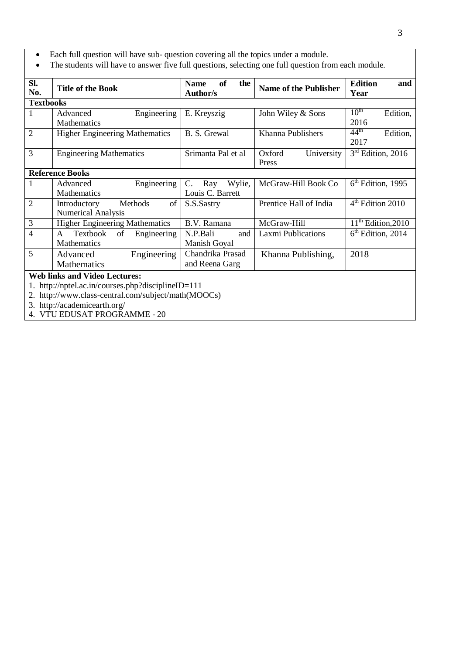- Each full question will have sub- question covering all the topics under a module.
- The students will have to answer five full questions, selecting one full question from each module.

| Sl.<br>No.       | <b>Title of the Book</b>                                                                                                                                                        | <b>of</b><br><b>Name</b><br>the<br><b>Author/s</b> | <b>Name of the Publisher</b>  | <b>Edition</b><br>and<br>Year        |  |  |
|------------------|---------------------------------------------------------------------------------------------------------------------------------------------------------------------------------|----------------------------------------------------|-------------------------------|--------------------------------------|--|--|
| <b>Textbooks</b> |                                                                                                                                                                                 |                                                    |                               |                                      |  |  |
| 1                | Engineering<br>Advanced<br>Mathematics                                                                                                                                          | E. Kreyszig                                        | John Wiley & Sons             | 10 <sup>th</sup><br>Edition,<br>2016 |  |  |
| $\overline{2}$   | <b>Higher Engineering Mathematics</b>                                                                                                                                           | B. S. Grewal                                       | Khanna Publishers             | $44^{\text{th}}$<br>Edition,<br>2017 |  |  |
| 3                | <b>Engineering Mathematics</b>                                                                                                                                                  | Srimanta Pal et al                                 | Oxford<br>University<br>Press | $3rd$ Edition, 2016                  |  |  |
|                  | <b>Reference Books</b>                                                                                                                                                          |                                                    |                               |                                      |  |  |
| 1                | Engineering<br>Advanced<br><b>Mathematics</b>                                                                                                                                   | Wylie,<br>C.<br>Ray<br>Louis C. Barrett            | McGraw-Hill Book Co           | $6th$ Edition, 1995                  |  |  |
| $\overline{2}$   | of<br>Introductory<br>Methods<br><b>Numerical Analysis</b>                                                                                                                      | S.S.Sastry                                         | Prentice Hall of India        | 4 <sup>th</sup> Edition 2010         |  |  |
| 3                | <b>Higher Engineering Mathematics</b>                                                                                                                                           | B.V. Ramana                                        | McGraw-Hill                   | $11th$ Edition, 2010                 |  |  |
| 4                | Textbook<br>of<br>Engineering<br>A<br><b>Mathematics</b>                                                                                                                        | N.P.Bali<br>and<br>Manish Goyal                    | <b>Laxmi Publications</b>     | $6th$ Edition, 2014                  |  |  |
| 5                | Engineering<br>Advanced<br>Mathematics                                                                                                                                          | Chandrika Prasad<br>and Reena Garg                 | Khanna Publishing,            | 2018                                 |  |  |
| 1.               | <b>Web links and Video Lectures:</b><br>http://nptel.ac.in/courses.php?disciplineID=111<br>2. http://www.class-central.com/subject/math(MOOCs)<br>$3$ http://academicesrth.org/ |                                                    |                               |                                      |  |  |

3. <http://academicearth.org/>

4. VTU EDUSAT PROGRAMME - 20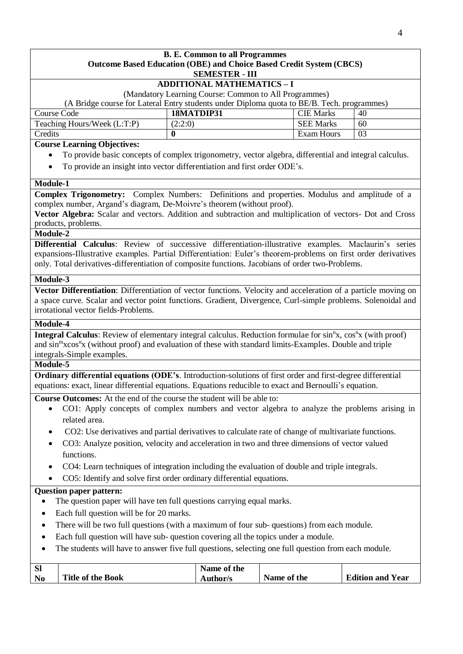### **B. E. Common to all Programmes Outcome Based Education (OBE) and Choice Based Credit System (CBCS) SEMESTER - III ADDITIONAL MATHEMATICS – I** (Mandatory Learning Course: Common to All Programmes) (A Bridge course for Lateral Entry students under Diploma quota to BE/B. Tech. programmes) Course Code **18MATDIP31** CIE Marks 40 Teaching Hours/Week  $(L:T:P)$  (2:2:0) SEE Marks 60 **Credits 0** Exam Hours **03 Course Learning Objectives:**

- To provide basic concepts of complex trigonometry, vector algebra, differential and integral calculus.
- To provide an insight into vector differentiation and first order ODE's.

### **Module-1**

**Complex Trigonometry:** Complex Numbers: Definitions and properties. Modulus and amplitude of a complex number, Argand's diagram, De-Moivre's theorem (without proof).

**Vector Algebra:** Scalar and vectors. Addition and subtraction and multiplication of vectors- Dot and Cross products, problems.

## **Module-2**

**Differential Calculus**: Review of successive differentiation-illustrative examples. Maclaurin's series expansions-Illustrative examples. Partial Differentiation: Euler's theorem-problems on first order derivatives only. Total derivatives-differentiation of composite functions. Jacobians of order two-Problems.

### **Module-3**

**Vector Differentiation**: Differentiation of vector functions. Velocity and acceleration of a particle moving on a space curve. Scalar and vector point functions. Gradient, Divergence, Curl-simple problems. Solenoidal and irrotational vector fields-Problems.

### **Module-4**

Integral Calculus: Review of elementary integral calculus. Reduction formulae for sin<sup>n</sup>x, cos<sup>n</sup>x (with proof) and sin<sup>m</sup>xcos<sup>n</sup>x (without proof) and evaluation of these with standard limits-Examples. Double and triple integrals-Simple examples.

### **Module-5**

**Ordinary differential equations (ODE's**. Introduction-solutions of first order and first-degree differential equations: exact, linear differential equations. Equations reducible to exact and Bernoulli's equation.

**Course Outcomes:** At the end of the course the student will be able to:

- CO1: Apply concepts of complex numbers and vector algebra to analyze the problems arising in related area.
- CO2: Use derivatives and partial derivatives to calculate rate of change of multivariate functions.
- CO3: Analyze position, velocity and acceleration in two and three dimensions of vector valued functions.
- CO4: Learn techniques of integration including the evaluation of double and triple integrals.
- CO5: Identify and solve first order ordinary differential equations.

### **Question paper pattern:**

- The question paper will have ten full questions carrying equal marks.
- Each full question will be for 20 marks.
- There will be two full questions (with a maximum of four sub- questions) from each module.
- Each full question will have sub- question covering all the topics under a module.
- The students will have to answer five full questions, selecting one full question from each module.

| <b>S</b>       |                          | Name of the |             |                         |
|----------------|--------------------------|-------------|-------------|-------------------------|
| N <sub>0</sub> | <b>Title of the Book</b> | Author/s    | Name of the | <b>Edition and Year</b> |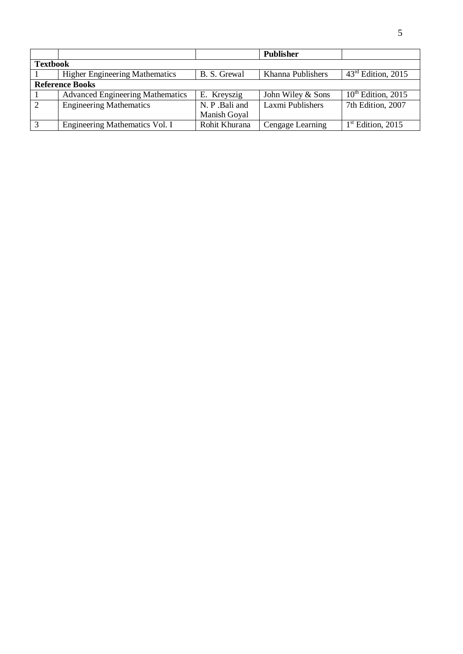|                 |                                         |                | <b>Publisher</b>  |                      |
|-----------------|-----------------------------------------|----------------|-------------------|----------------------|
| <b>Textbook</b> |                                         |                |                   |                      |
|                 | <b>Higher Engineering Mathematics</b>   | B. S. Grewal   | Khanna Publishers | $43rd$ Edition, 2015 |
|                 | <b>Reference Books</b>                  |                |                   |                      |
|                 | <b>Advanced Engineering Mathematics</b> | E. Kreyszig    | John Wiley & Sons | $10th$ Edition, 2015 |
| 2               | <b>Engineering Mathematics</b>          | N. P. Bali and | Laxmi Publishers  | 7th Edition, 2007    |
|                 |                                         | Manish Goyal   |                   |                      |
| 3               | Engineering Mathematics Vol. I          | Rohit Khurana  | Cengage Learning  | $1st$ Edition, 2015  |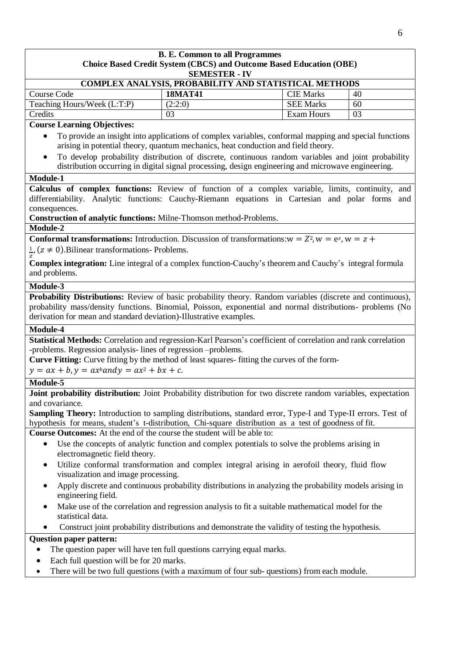| <b>SEMESTER - IV</b><br>COMPLEX ANALYSIS, PROBABILITY AND STATISTICAL METHODS<br><b>Course Code</b><br><b>18MAT41</b><br>Teaching Hours/Week (L:T:P)<br>(2:2:0)<br>Credits<br>03<br><b>Course Learning Objectives:</b><br>To provide an insight into applications of complex variables, conformal mapping and special functions<br>arising in potential theory, quantum mechanics, heat conduction and field theory.<br>To develop probability distribution of discrete, continuous random variables and joint probability<br>distribution occurring in digital signal processing, design engineering and microwave engineering.<br>Module-1<br>Calculus of complex functions: Review of function of a complex variable, limits, continuity, and<br>differentiability. Analytic functions: Cauchy-Riemann equations in Cartesian and polar forms and | <b>CIE Marks</b><br>40<br><b>SEE Marks</b><br>60<br><b>Exam Hours</b><br>03 |  |  |  |
|------------------------------------------------------------------------------------------------------------------------------------------------------------------------------------------------------------------------------------------------------------------------------------------------------------------------------------------------------------------------------------------------------------------------------------------------------------------------------------------------------------------------------------------------------------------------------------------------------------------------------------------------------------------------------------------------------------------------------------------------------------------------------------------------------------------------------------------------------|-----------------------------------------------------------------------------|--|--|--|
|                                                                                                                                                                                                                                                                                                                                                                                                                                                                                                                                                                                                                                                                                                                                                                                                                                                      |                                                                             |  |  |  |
|                                                                                                                                                                                                                                                                                                                                                                                                                                                                                                                                                                                                                                                                                                                                                                                                                                                      |                                                                             |  |  |  |
|                                                                                                                                                                                                                                                                                                                                                                                                                                                                                                                                                                                                                                                                                                                                                                                                                                                      |                                                                             |  |  |  |
|                                                                                                                                                                                                                                                                                                                                                                                                                                                                                                                                                                                                                                                                                                                                                                                                                                                      |                                                                             |  |  |  |
|                                                                                                                                                                                                                                                                                                                                                                                                                                                                                                                                                                                                                                                                                                                                                                                                                                                      |                                                                             |  |  |  |
|                                                                                                                                                                                                                                                                                                                                                                                                                                                                                                                                                                                                                                                                                                                                                                                                                                                      |                                                                             |  |  |  |
|                                                                                                                                                                                                                                                                                                                                                                                                                                                                                                                                                                                                                                                                                                                                                                                                                                                      |                                                                             |  |  |  |
| consequences.<br>Construction of analytic functions: Milne-Thomson method-Problems.                                                                                                                                                                                                                                                                                                                                                                                                                                                                                                                                                                                                                                                                                                                                                                  |                                                                             |  |  |  |
| Module-2                                                                                                                                                                                                                                                                                                                                                                                                                                                                                                                                                                                                                                                                                                                                                                                                                                             |                                                                             |  |  |  |
| <b>Conformal transformations:</b> Introduction. Discussion of transformations: $w = Z^2$ , $w = e^z$ , $w = z +$<br>$\frac{1}{2}$ , (z $\neq$ 0). Bilinear transformations- Problems.                                                                                                                                                                                                                                                                                                                                                                                                                                                                                                                                                                                                                                                                |                                                                             |  |  |  |
| <b>Complex integration:</b> Line integral of a complex function-Cauchy's theorem and Cauchy's integral formula<br>and problems.                                                                                                                                                                                                                                                                                                                                                                                                                                                                                                                                                                                                                                                                                                                      |                                                                             |  |  |  |
| Module-3                                                                                                                                                                                                                                                                                                                                                                                                                                                                                                                                                                                                                                                                                                                                                                                                                                             |                                                                             |  |  |  |
| Probability Distributions: Review of basic probability theory. Random variables (discrete and continuous),<br>probability mass/density functions. Binomial, Poisson, exponential and normal distributions- problems (No<br>derivation for mean and standard deviation)-Illustrative examples.                                                                                                                                                                                                                                                                                                                                                                                                                                                                                                                                                        |                                                                             |  |  |  |
| Module-4                                                                                                                                                                                                                                                                                                                                                                                                                                                                                                                                                                                                                                                                                                                                                                                                                                             |                                                                             |  |  |  |
| Statistical Methods: Correlation and regression-Karl Pearson's coefficient of correlation and rank correlation<br>-problems. Regression analysis-lines of regression -problems.<br>Curve Fitting: Curve fitting by the method of least squares-fitting the curves of the form-<br>$y = ax + b, y = ax^b$ and $y = ax^2 + bx + c$ .                                                                                                                                                                                                                                                                                                                                                                                                                                                                                                                   |                                                                             |  |  |  |
| Module-5                                                                                                                                                                                                                                                                                                                                                                                                                                                                                                                                                                                                                                                                                                                                                                                                                                             |                                                                             |  |  |  |
| Joint probability distribution: Joint Probability distribution for two discrete random variables, expectation<br>and covariance.<br><b>Sampling Theory:</b> Introduction to sampling distributions, standard error, Type-I and Type-II errors. Test of<br>hypothesis for means, student's t-distribution, Chi-square distribution as a test of goodness of fit.<br><b>Course Outcomes:</b> At the end of the course the student will be able to:                                                                                                                                                                                                                                                                                                                                                                                                     |                                                                             |  |  |  |
| Use the concepts of analytic function and complex potentials to solve the problems arising in<br>$\bullet$<br>electromagnetic field theory.                                                                                                                                                                                                                                                                                                                                                                                                                                                                                                                                                                                                                                                                                                          |                                                                             |  |  |  |
| Utilize conformal transformation and complex integral arising in aerofoil theory, fluid flow<br>visualization and image processing.                                                                                                                                                                                                                                                                                                                                                                                                                                                                                                                                                                                                                                                                                                                  |                                                                             |  |  |  |
| Apply discrete and continuous probability distributions in analyzing the probability models arising in<br>٠<br>engineering field.                                                                                                                                                                                                                                                                                                                                                                                                                                                                                                                                                                                                                                                                                                                    |                                                                             |  |  |  |
| Make use of the correlation and regression analysis to fit a suitable mathematical model for the<br>statistical data.                                                                                                                                                                                                                                                                                                                                                                                                                                                                                                                                                                                                                                                                                                                                |                                                                             |  |  |  |
| Construct joint probability distributions and demonstrate the validity of testing the hypothesis.                                                                                                                                                                                                                                                                                                                                                                                                                                                                                                                                                                                                                                                                                                                                                    |                                                                             |  |  |  |
| <b>Question paper pattern:</b>                                                                                                                                                                                                                                                                                                                                                                                                                                                                                                                                                                                                                                                                                                                                                                                                                       |                                                                             |  |  |  |
| The question paper will have ten full questions carrying equal marks.                                                                                                                                                                                                                                                                                                                                                                                                                                                                                                                                                                                                                                                                                                                                                                                |                                                                             |  |  |  |
| Each full question will be for 20 marks.                                                                                                                                                                                                                                                                                                                                                                                                                                                                                                                                                                                                                                                                                                                                                                                                             |                                                                             |  |  |  |
| There will be two full questions (with a maximum of four sub-questions) from each module.<br>٠                                                                                                                                                                                                                                                                                                                                                                                                                                                                                                                                                                                                                                                                                                                                                       |                                                                             |  |  |  |

6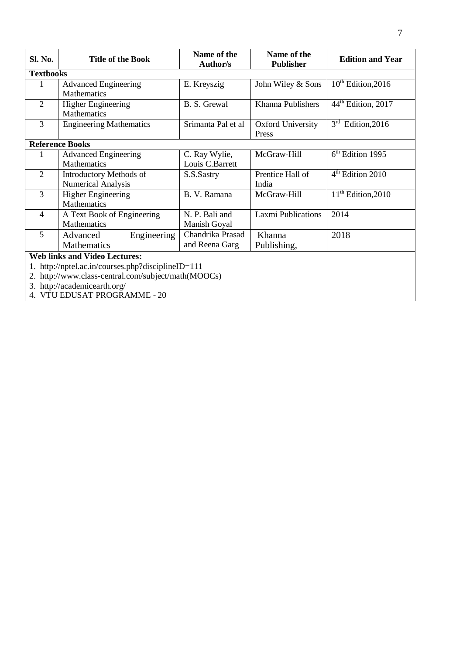| Sl. No.          | <b>Title of the Book</b>                                                                       | Name of the<br>Author/s            | Name of the<br><b>Publisher</b> | <b>Edition and Year</b>        |  |  |
|------------------|------------------------------------------------------------------------------------------------|------------------------------------|---------------------------------|--------------------------------|--|--|
| <b>Textbooks</b> |                                                                                                |                                    |                                 |                                |  |  |
| 1                | <b>Advanced Engineering</b><br><b>Mathematics</b>                                              | E. Kreyszig                        | John Wiley & Sons               | $10^{th}$ Edition, 2016        |  |  |
| $\overline{2}$   | <b>Higher Engineering</b><br>Mathematics                                                       | B. S. Grewal                       | Khanna Publishers               | 44 <sup>th</sup> Edition, 2017 |  |  |
| 3                | <b>Engineering Mathematics</b>                                                                 | Srimanta Pal et al                 | Oxford University<br>Press      | $3rd$ Edition, 2016            |  |  |
|                  | <b>Reference Books</b>                                                                         |                                    |                                 |                                |  |  |
|                  | <b>Advanced Engineering</b><br>Mathematics                                                     | C. Ray Wylie,<br>Louis C.Barrett   | McGraw-Hill                     | $6th$ Edition 1995             |  |  |
| $\overline{2}$   | <b>Introductory Methods of</b><br>Numerical Analysis                                           | S.S.Sastry                         | Prentice Hall of<br>India       | 4 <sup>th</sup> Edition 2010   |  |  |
| 3                | <b>Higher Engineering</b><br>Mathematics                                                       | B. V. Ramana                       | McGraw-Hill                     | $11th$ Edition, 2010           |  |  |
| $\overline{4}$   | A Text Book of Engineering<br>Mathematics                                                      | N. P. Bali and<br>Manish Goyal     | Laxmi Publications              | 2014                           |  |  |
| 5                | Advanced<br>Engineering<br>Mathematics                                                         | Chandrika Prasad<br>and Reena Garg | Khanna<br>Publishing,           | 2018                           |  |  |
|                  | <b>Web links and Video Lectures:</b>                                                           |                                    |                                 |                                |  |  |
|                  | http://nptel.ac.in/courses.php?disciplineID=111                                                |                                    |                                 |                                |  |  |
|                  | 2. http://www.class-central.com/subject/math(MOOCs)                                            |                                    |                                 |                                |  |  |
|                  | 3. http://academicearth.org/<br>$V/TU$ ENIG $\Lambda T$ DD $\Omega$ CD $\Lambda M$ UE $\Omega$ |                                    |                                 |                                |  |  |

4. VTU EDUSAT PROGRAMME - 20

 $\overline{\phantom{a}}$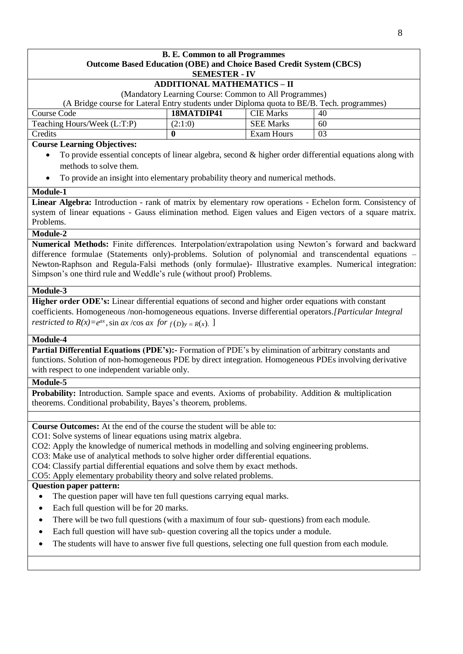#### **B. E. Common to all Programmes Outcome Based Education (OBE) and Choice Based Credit System (CBCS) SEMESTER - IV**

## **ADDITIONAL MATHEMATICS – II**

(Mandatory Learning Course: Common to All Programmes)

(A Bridge course for Lateral Entry students under Diploma quota to BE/B. Tech. programmes)

| Course Code                 | 18MATDIP41 | <b>CIE Marks</b> | 40             |
|-----------------------------|------------|------------------|----------------|
| Teaching Hours/Week (L:T:P) | (2:1:0)    | <b>SEE Marks</b> | 60             |
| Credits                     |            | Exam Hours       | 0 <sup>3</sup> |

### **Course Learning Objectives:**

- To provide essential concepts of linear algebra, second & higher order differential equations along with methods to solve them.
- To provide an insight into elementary probability theory and numerical methods.

### **Module-1**

**Linear Algebra:** Introduction - rank of matrix by elementary row operations - Echelon form. Consistency of system of linear equations - Gauss elimination method. Eigen values and Eigen vectors of a square matrix. Problems.

### **Module-2**

**Numerical Methods:** Finite differences. Interpolation/extrapolation using Newton's forward and backward difference formulae (Statements only)-problems. Solution of polynomial and transcendental equations – Newton-Raphson and Regula-Falsi methods (only formulae)- Illustrative examples. Numerical integration: Simpson's one third rule and Weddle's rule (without proof) Problems.

### **Module-3**

**Higher order ODE's:** Linear differential equations of second and higher order equations with constant coefficients. Homogeneous /non-homogeneous equations. Inverse differential operators*.[Particular Integral restricted to*  $R(x) = e^{ax}$ ,  $\sin ax / \cos ax$   $for$   $f(D)y = R(x)$ . ]

### **Module-4**

**Partial Differential Equations (PDE's):-** Formation of PDE's by elimination of arbitrary constants and functions. Solution of non-homogeneous PDE by direct integration. Homogeneous PDEs involving derivative with respect to one independent variable only.

### **Module-5**

**Probability:** Introduction. Sample space and events. Axioms of probability. Addition & multiplication theorems. Conditional probability, Bayes's theorem, problems.

**Course Outcomes:** At the end of the course the student will be able to:

CO1: Solve systems of linear equations using matrix algebra.

CO2: Apply the knowledge of numerical methods in modelling and solving engineering problems.

CO3: Make use of analytical methods to solve higher order differential equations.

CO4: Classify partial differential equations and solve them by exact methods.

CO5: Apply elementary probability theory and solve related problems.

### **Question paper pattern:**

- The question paper will have ten full questions carrying equal marks.
- Each full question will be for 20 marks.
- There will be two full questions (with a maximum of four sub- questions) from each module.
- Each full question will have sub- question covering all the topics under a module.
- The students will have to answer five full questions, selecting one full question from each module.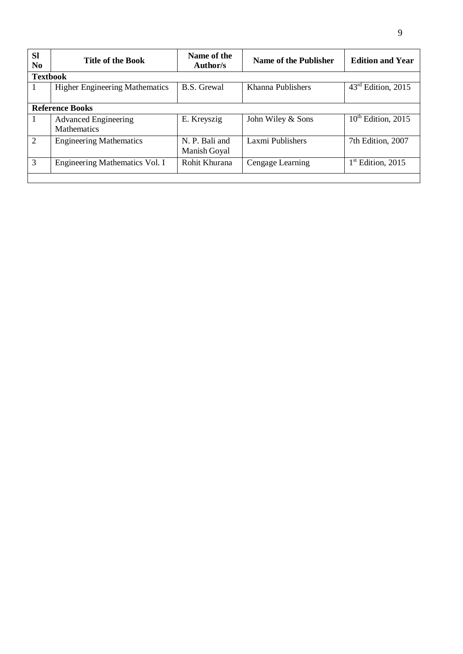| <b>Sl</b><br>N <sub>0</sub> | <b>Title of the Book</b>                          | Name of the<br>Author/s        | Name of the Publisher | <b>Edition and Year</b> |  |
|-----------------------------|---------------------------------------------------|--------------------------------|-----------------------|-------------------------|--|
| <b>Textbook</b>             |                                                   |                                |                       |                         |  |
|                             | <b>Higher Engineering Mathematics</b>             | <b>B.S.</b> Grewal             | Khanna Publishers     | $43rd$ Edition, 2015    |  |
|                             | <b>Reference Books</b>                            |                                |                       |                         |  |
| 1                           | <b>Advanced Engineering</b><br><b>Mathematics</b> | E. Kreyszig                    | John Wiley & Sons     | $10th$ Edition, 2015    |  |
| 2                           | <b>Engineering Mathematics</b>                    | N. P. Bali and<br>Manish Goyal | Laxmi Publishers      | 7th Edition, 2007       |  |
| 3                           | Engineering Mathematics Vol. I                    | Rohit Khurana                  | Cengage Learning      | $1st$ Edition, 2015     |  |
|                             |                                                   |                                |                       |                         |  |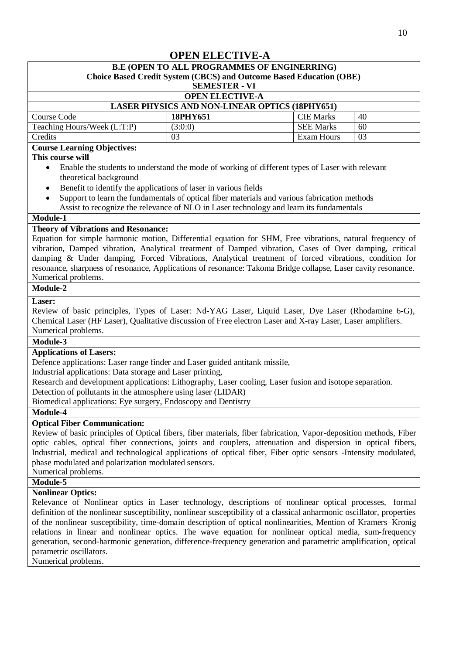# **OPEN ELECTIVE-A**

# **B.E (OPEN TO ALL PROGRAMMES OF ENGINERRING)**

| <b>Choice Based Credit System (CBCS) and Outcome Based Education (OBE)</b> |                      |                  |    |  |  |
|----------------------------------------------------------------------------|----------------------|------------------|----|--|--|
|                                                                            | <b>SEMESTER - VI</b> |                  |    |  |  |
| <b>OPEN ELECTIVE-A</b>                                                     |                      |                  |    |  |  |
| <b>LASER PHYSICS AND NON-LINEAR OPTICS (18PHY651)</b>                      |                      |                  |    |  |  |
| Course Code                                                                | 18PHY651             | <b>CIE Marks</b> | 40 |  |  |
| Teaching Hours/Week (L:T:P)                                                | (3:0:0)              | <b>SEE Marks</b> | 60 |  |  |
| Credits<br>Exam Hours<br>03<br>03                                          |                      |                  |    |  |  |
| <b>Course Learning Objectives:</b>                                         |                      |                  |    |  |  |

### **This course will**

- Enable the students to understand the mode of working of different types of Laser with relevant theoretical background
- Benefit to identify the applications of laser in various fields
- Support to learn the fundamentals of optical fiber materials and various fabrication methods Assist to recognize the relevance of NLO in Laser technology and learn its fundamentals

### **Module-1**

### **Theory of Vibrations and Resonance:**

Equation for simple harmonic motion, Differential equation for SHM, Free vibrations, natural frequency of vibration, Damped vibration, Analytical treatment of Damped vibration, Cases of Over damping, critical damping & Under damping, Forced Vibrations, Analytical treatment of forced vibrations, condition for resonance, sharpness of resonance, Applications of resonance: Takoma Bridge collapse, Laser cavity resonance. Numerical problems.

### **Module-2**

### **Laser:**

Review of basic principles, Types of Laser: Nd-YAG Laser, Liquid Laser, Dye Laser (Rhodamine 6-G), Chemical Laser (HF Laser), Qualitative discussion of Free electron Laser and X-ray Laser, Laser amplifiers. Numerical problems.

#### **Module-3**

### **Applications of Lasers:**

Defence applications: Laser range finder and Laser guided antitank missile,

Industrial applications: Data storage and Laser printing,

Research and development applications: Lithography, Laser cooling, Laser fusion and isotope separation.

Detection of pollutants in the atmosphere using laser (LIDAR)

Biomedical applications: Eye surgery, Endoscopy and Dentistry

### **Module-4**

### **Optical Fiber Communication:**

Review of basic principles of Optical fibers, fiber materials, fiber fabrication, Vapor-deposition methods, Fiber optic cables, optical fiber connections, joints and couplers, attenuation and dispersion in optical fibers, Industrial, medical and technological applications of optical fiber, Fiber optic sensors -Intensity modulated, phase modulated and polarization modulated sensors.

Numerical problems.

### **Module-5**

### **Nonlinear Optics:**

Relevance of Nonlinear optics in Laser technology, descriptions of nonlinear optical processes, formal definition of the nonlinear susceptibility, nonlinear susceptibility of a classical anharmonic oscillator, properties of the nonlinear susceptibility, time-domain description of optical nonlinearities, Mention of Kramers–Kronig relations in linear and nonlinear optics. The wave equation for nonlinear optical media, sum-frequency generation, second-harmonic generation, difference-frequency generation and parametric amplification¸ optical parametric oscillators.

Numerical problems.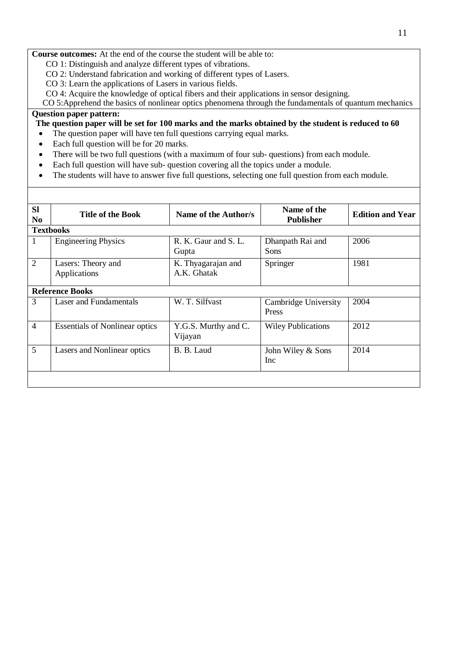**Course outcomes:** At the end of the course the student will be able to:

CO 1: Distinguish and analyze different types of vibrations.

- CO 2: Understand fabrication and working of different types of Lasers.
- CO 3: Learn the applications of Lasers in various fields.
- CO 4: Acquire the knowledge of optical fibers and their applications in sensor designing.

CO 5:Apprehend the basics of nonlinear optics phenomena through the fundamentals of quantum mechanics

# **Question paper pattern:**

The question paper will be set for 100 marks and the marks obtained by the student is reduced to 60

- The question paper will have ten full questions carrying equal marks.
- Each full question will be for 20 marks.
- There will be two full questions (with a maximum of four sub- questions) from each module.
- Each full question will have sub- question covering all the topics under a module.
- The students will have to answer five full questions, selecting one full question from each module.

| <b>SI</b><br>N <sub>0</sub> | <b>Title of the Book</b>              | Name of the Author/s              | Name of the<br><b>Publisher</b> | <b>Edition and Year</b> |  |  |  |
|-----------------------------|---------------------------------------|-----------------------------------|---------------------------------|-------------------------|--|--|--|
|                             | <b>Textbooks</b>                      |                                   |                                 |                         |  |  |  |
| $\mathbf{1}$                | <b>Engineering Physics</b>            | R. K. Gaur and S. L.<br>Gupta     | Dhanpath Rai and<br><b>Sons</b> | 2006                    |  |  |  |
| $\overline{2}$              | Lasers: Theory and<br>Applications    | K. Thyagarajan and<br>A.K. Ghatak | Springer                        | 1981                    |  |  |  |
|                             | <b>Reference Books</b>                |                                   |                                 |                         |  |  |  |
| $\overline{3}$              | Laser and Fundamentals                | W. T. Silfvast                    | Cambridge University<br>Press   | 2004                    |  |  |  |
| $\overline{4}$              | <b>Essentials of Nonlinear optics</b> | Y.G.S. Murthy and C.<br>Vijayan   | <b>Wiley Publications</b>       | 2012                    |  |  |  |
| 5                           | Lasers and Nonlinear optics           | B. B. Laud                        | John Wiley & Sons<br>Inc        | 2014                    |  |  |  |
|                             |                                       |                                   |                                 |                         |  |  |  |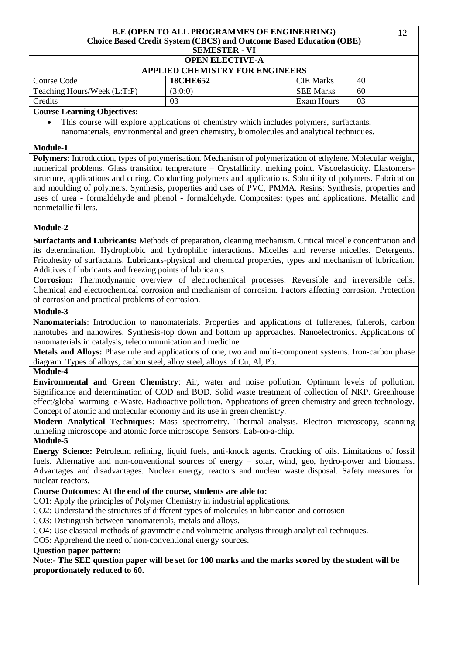#### **B.E (OPEN TO ALL PROGRAMMES OF ENGINERRING)** 12 **Choice Based Credit System (CBCS) and Outcome Based Education (OBE) SEMESTER - VI**

### **OPEN ELECTIVE-A**

| <b>APPLIED CHEMISTRY FOR ENGINEERS</b> |                 |                  |    |  |
|----------------------------------------|-----------------|------------------|----|--|
| Course Code                            | <b>18CHE652</b> | <b>CIE</b> Marks | 40 |  |
| Teaching Hours/Week (L:T:P)            | (3:0:0)         | <b>SEE Marks</b> | 60 |  |
| Credits                                | 03              | Exam Hours       |    |  |

### **Course Learning Objectives:**

 This course will explore applications of chemistry which includes polymers, surfactants, nanomaterials, environmental and green chemistry, biomolecules and analytical techniques.

### **Module-1**

**Polymers**: Introduction, types of polymerisation. Mechanism of polymerization of ethylene. Molecular weight, numerical problems. Glass transition temperature – Crystallinity, melting point. Viscoelasticity. Elastomersstructure, applications and curing. Conducting polymers and applications. Solubility of polymers. Fabrication and moulding of polymers. Synthesis, properties and uses of PVC, PMMA. Resins: Synthesis, properties and uses of urea - formaldehyde and phenol - formaldehyde. Composites: types and applications. Metallic and nonmetallic fillers.

### **Module-2**

**Surfactants and Lubricants:** Methods of preparation, cleaning mechanism. Critical micelle concentration and its determination. Hydrophobic and hydrophilic interactions. Micelles and reverse micelles. Detergents. Fricohesity of surfactants. Lubricants-physical and chemical properties, types and mechanism of lubrication. Additives of lubricants and freezing points of lubricants.

**Corrosion:** Thermodynamic overview of electrochemical processes. Reversible and irreversible cells. Chemical and electrochemical corrosion and mechanism of corrosion. Factors affecting corrosion. Protection of corrosion and practical problems of corrosion.

### **Module-3**

**Nanomaterials**: Introduction to nanomaterials. Properties and applications of fullerenes, fullerols, carbon nanotubes and nanowires. Synthesis-top down and bottom up approaches. Nanoelectronics. Applications of nanomaterials in catalysis, telecommunication and medicine.

**Metals and Alloys:** Phase rule and applications of one, two and multi-component systems. Iron-carbon phase diagram. Types of alloys, carbon steel, alloy steel, alloys of Cu, Al, Pb.

### **Module-4**

**Environmental and Green Chemistry**: Air, water and noise pollution. Optimum levels of pollution. Significance and determination of COD and BOD. Solid waste treatment of collection of NKP. Greenhouse effect/global warming. e-Waste. Radioactive pollution. Applications of green chemistry and green technology. Concept of atomic and molecular economy and its use in green chemistry.

**Modern Analytical Techniques**: Mass spectrometry. Thermal analysis. Electron microscopy, scanning tunneling microscope and atomic force microscope. Sensors. Lab-on-a-chip.

### **Module-5**

E**nergy Science:** Petroleum refining, liquid fuels, anti-knock agents. Cracking of oils. Limitations of fossil fuels. Alternative and non-conventional sources of energy – solar, wind, geo, hydro-power and biomass. Advantages and disadvantages. Nuclear energy, reactors and nuclear waste disposal. Safety measures for nuclear reactors.

### **Course Outcomes: At the end of the course, students are able to:**

CO1: Apply the principles of Polymer Chemistry in industrial applications.

CO2: Understand the structures of different types of molecules in lubrication and corrosion

CO3: Distinguish between nanomaterials, metals and alloys.

CO4: Use classical methods of gravimetric and volumetric analysis through analytical techniques.

CO5: Apprehend the need of non-conventional energy sources.

### **Question paper pattern:**

**Note:- The SEE question paper will be set for 100 marks and the marks scored by the student will be proportionately reduced to 60.**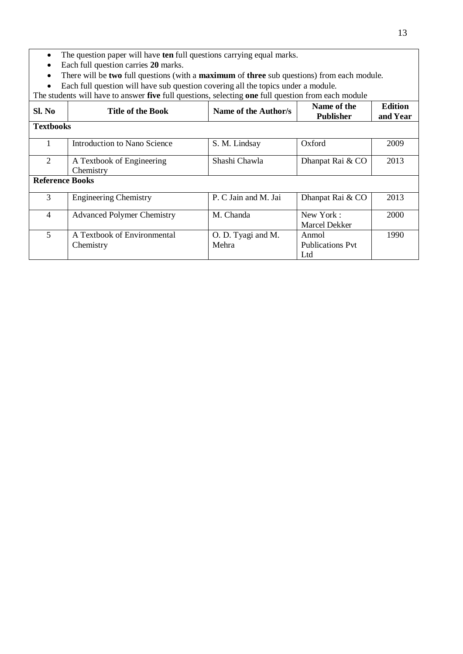- The question paper will have **ten** full questions carrying equal marks.
- Each full question carries **20** marks.
- There will be **two** full questions (with a **maximum** of **three** sub questions) from each module.
- Each full question will have sub question covering all the topics under a module.

The students will have to answer **five** full questions, selecting **one** full question from each module

| Sl. No                 | <b>Title of the Book</b>                 | Name of the Author/s        | Name of the<br><b>Publisher</b>         | <b>Edition</b><br>and Year |
|------------------------|------------------------------------------|-----------------------------|-----------------------------------------|----------------------------|
| <b>Textbooks</b>       |                                          |                             |                                         |                            |
|                        | Introduction to Nano Science             | S. M. Lindsay               | Oxford                                  | 2009                       |
| 2                      | A Textbook of Engineering<br>Chemistry   | Shashi Chawla               | Dhanpat Rai & CO                        | 2013                       |
| <b>Reference Books</b> |                                          |                             |                                         |                            |
| 3                      | <b>Engineering Chemistry</b>             | P. C Jain and M. Jai        | Dhanpat Rai & CO                        | 2013                       |
| $\overline{4}$         | <b>Advanced Polymer Chemistry</b>        | M. Chanda                   | New York:<br>Marcel Dekker              | 2000                       |
| 5                      | A Textbook of Environmental<br>Chemistry | O. D. Tyagi and M.<br>Mehra | Anmol<br><b>Publications Pyt</b><br>Ltd | 1990                       |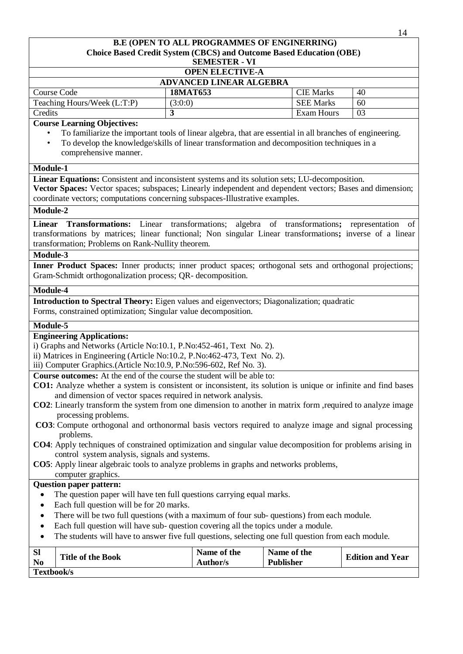### **B.E (OPEN TO ALL PROGRAMMES OF ENGINERRING) Choice Based Credit System (CBCS) and Outcome Based Education (OBE) SEMESTER - VI OPEN ELECTIVE-A ADVANCED LINEAR ALGEBRA** Course Code **18MAT653** CIE Marks 40 Teaching Hours/Week  $(L:T.P)$  (3:0:0) SEE Marks 60 **Credits 3 Exam Hours** 1 **3 Course Learning Objectives:** • To familiarize the important tools of linear algebra, that are essential in all branches of engineering. • To develop the knowledge/skills of linear transformation and decomposition techniques in a comprehensive manner. **Module-1 Linear Equations:** Consistent and inconsistent systems and its solution sets; LU-decomposition. **Vector Spaces:** Vector spaces; subspaces; Linearly independent and dependent vectors; Bases and dimension; coordinate vectors; computations concerning subspaces-Illustrative examples. **Module-2 Linear Transformations:** Linear transformations; algebra of transformations**;** representation of transformations by matrices; linear functional; Non singular Linear transformations**;** inverse of a linear transformation; Problems on Rank-Nullity theorem. **Module-3 Inner Product Spaces:** Inner products; inner product spaces; orthogonal sets and orthogonal projections; Gram-Schmidt orthogonalization process; QR- decomposition. **Module-4 Introduction to Spectral Theory:** Eigen values and eigenvectors; Diagonalization; quadratic Forms, constrained optimization; Singular value decomposition. **Module-5 Engineering Applications:** i) Graphs and Networks (Article No:10.1, P.No:452-461, Text No. 2). ii) Matrices in Engineering (Article No:10.2, P.No:462-473, Text No. 2). iii) Computer Graphics.(Article No:10.9, P.No:596-602, Ref No. 3). **Course outcomes:** At the end of the course the student will be able to: **CO1:** Analyze whether a system is consistent or inconsistent, its solution is unique or infinite and find bases and dimension of vector spaces required in network analysis. **CO2**: Linearly transform the system from one dimension to another in matrix form ,required to analyze image processing problems. **CO3**: Compute orthogonal and orthonormal basis vectors required to analyze image and signal processing problems. **CO4**: Apply techniques of constrained optimization and singular value decomposition for problems arising in control system analysis, signals and systems. **CO5**: Apply linear algebraic tools to analyze problems in graphs and networks problems, computer graphics. **Question paper pattern:** The question paper will have ten full questions carrying equal marks. • Each full question will be for 20 marks. There will be two full questions (with a maximum of four sub- questions) from each module. Each full question will have sub- question covering all the topics under a module. • The students will have to answer five full questions, selecting one full question from each module. **Sl**  $\begin{array}{c|c|c|c} \hline \textbf{N} & \textbf{N} & \textbf{N} \\ \hline \textbf{N} & \textbf{N} & \textbf{N} \\ \hline \textbf{N} & \textbf{N} & \textbf{N} \\ \hline \end{array}$ **Author/s Name of the Publisher Edition and Year Textbook/s**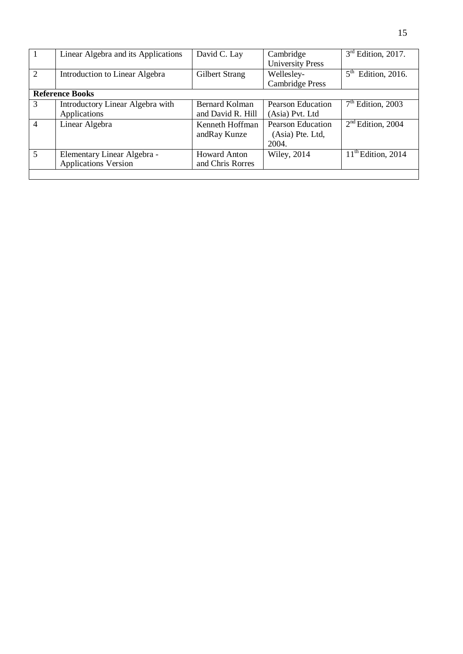| $\mathbf{1}$   | Linear Algebra and its Applications                        | David C. Lay                            | Cambridge<br><b>University Press</b>                  | $3rd$ Edition, 2017.              |
|----------------|------------------------------------------------------------|-----------------------------------------|-------------------------------------------------------|-----------------------------------|
| 2              | Introduction to Linear Algebra                             | Gilbert Strang                          | Wellesley-<br><b>Cambridge Press</b>                  | 5 <sup>th</sup><br>Edition, 2016. |
|                | <b>Reference Books</b>                                     |                                         |                                                       |                                   |
| 3              | Introductory Linear Algebra with<br>Applications           | Bernard Kolman<br>and David R. Hill     | <b>Pearson Education</b><br>(Asia) Pvt. Ltd           | $7th$ Edition, 2003               |
| $\overline{4}$ | Linear Algebra                                             | Kenneth Hoffman<br>and Ray Kunze        | <b>Pearson Education</b><br>(Asia) Pte. Ltd,<br>2004. | $2nd$ Edition, 2004               |
| $\overline{5}$ | Elementary Linear Algebra -<br><b>Applications Version</b> | <b>Howard Anton</b><br>and Chris Rorres | <b>Wiley</b> , 2014                                   | $11th$ Edition, 2014              |
|                |                                                            |                                         |                                                       |                                   |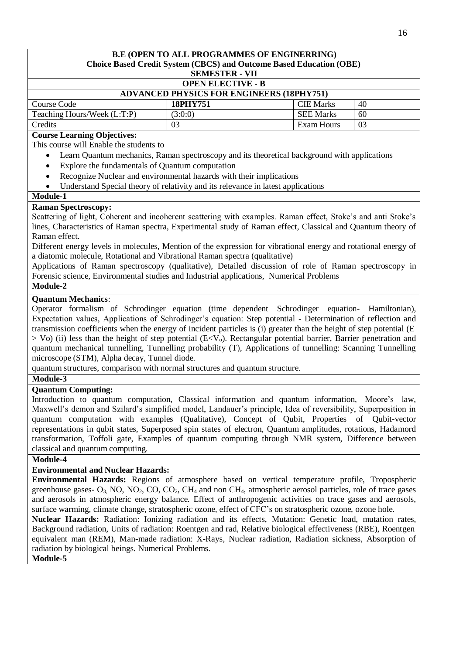### **B.E (OPEN TO ALL PROGRAMMES OF ENGINERRING) Choice Based Credit System (CBCS) and Outcome Based Education (OBE) SEMESTER - VII OPEN ELECTIVE - B**

| <b>ADVANCED PHYSICS FOR ENGINEERS (18PHY751)</b> |          |                  |    |  |
|--------------------------------------------------|----------|------------------|----|--|
| Course Code                                      | 18PHY751 | <b>CIE Marks</b> | 40 |  |
| Teaching Hours/Week (L:T:P)                      | (3:0:0)  | <b>SEE Marks</b> | 60 |  |
| Credits                                          | 03       | Exam Hours       | 03 |  |

### **Course Learning Objectives:**

This course will Enable the students to

- Learn Quantum mechanics, Raman spectroscopy and its theoretical background with applications
- Explore the fundamentals of Quantum computation
- Recognize Nuclear and environmental hazards with their implications
- Understand Special theory of relativity and its relevance in latest applications

### **Module-1**

### **Raman Spectroscopy:**

Scattering of light, Coherent and incoherent scattering with examples. Raman effect, Stoke's and anti Stoke's lines, Characteristics of Raman spectra, Experimental study of Raman effect, Classical and Quantum theory of Raman effect.

Different energy levels in molecules, Mention of the expression for vibrational energy and rotational energy of a diatomic molecule, Rotational and Vibrational Raman spectra (qualitative)

Applications of Raman spectroscopy (qualitative), Detailed discussion of role of Raman spectroscopy in Forensic science, Environmental studies and Industrial applications, Numerical Problems

### **Module-2**

### **Quantum Mechanics**:

Operator formalism of Schrodinger equation (time dependent Schrodinger equation- Hamiltonian), Expectation values, Applications of Schrodinger's equation: Step potential - Determination of reflection and transmission coefficients when the energy of incident particles is (i) greater than the height of step potential (E  $>$  Vo) (ii) less than the height of step potential (E<V<sub>0</sub>). Rectangular potential barrier, Barrier penetration and quantum mechanical tunnelling, Tunnelling probability (T), Applications of tunnelling: Scanning Tunnelling microscope (STM), Alpha decay, Tunnel diode.

quantum structures, comparison with normal structures and quantum structure.

### **Module-3**

### **Quantum Computing:**

Introduction to quantum computation, Classical information and quantum information, Moore's law, Maxwell's demon and Szilard's simplified model, Landauer's principle, Idea of reversibility, Superposition in quantum computation with examples (Qualitative), Concept of Qubit, Properties of Qubit-vector representations in qubit states, Superposed spin states of electron, Quantum amplitudes, rotations, Hadamord transformation, Toffoli gate, Examples of quantum computing through NMR system, Difference between classical and quantum computing.

### **Module-4**

### **Environmental and Nuclear Hazards:**

**Environmental Hazards:** Regions of atmosphere based on vertical temperature profile, Tropospheric greenhouse gases-  $O_3$ , NO, NO<sub>2</sub>, CO, CO<sub>2</sub>, CH<sub>4</sub> and non CH<sub>4</sub>, atmospheric aerosol particles, role of trace gases and aerosols in atmospheric energy balance. Effect of anthropogenic activities on trace gases and aerosols, surface warming, climate change, stratospheric ozone, effect of CFC's on stratospheric ozone, ozone hole.

**Nuclear Hazards:** Radiation: Ionizing radiation and its effects, Mutation: Genetic load, mutation rates, Background radiation, Units of radiation: Roentgen and rad, Relative biological effectiveness (RBE), Roentgen equivalent man (REM), Man-made radiation: X-Rays, Nuclear radiation, Radiation sickness, Absorption of radiation by biological beings. Numerical Problems.

**Module-5**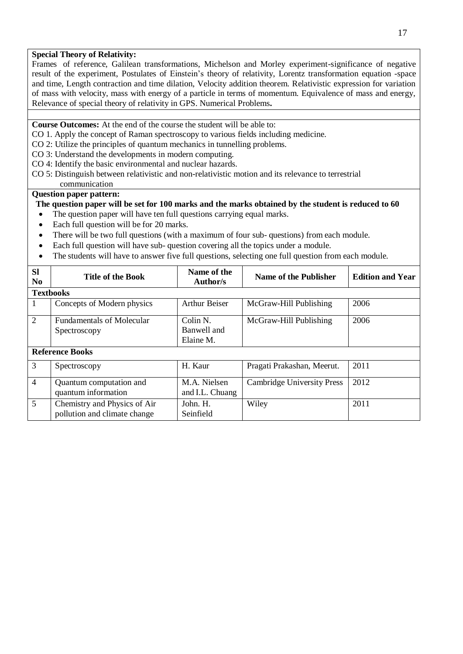### **Special Theory of Relativity:**

Frames of reference, Galilean transformations, Michelson and Morley experiment-significance of negative result of the experiment, Postulates of Einstein's theory of relativity, Lorentz transformation equation -space and time, Length contraction and time dilation, Velocity addition theorem. Relativistic expression for variation of mass with velocity, mass with energy of a particle in terms of momentum. Equivalence of mass and energy, Relevance of special theory of relativity in GPS. Numerical Problems**.**

**Course Outcomes:** At the end of the course the student will be able to:

- CO 1. Apply the concept of Raman spectroscopy to various fields including medicine.
- CO 2: Utilize the principles of quantum mechanics in tunnelling problems.
- CO 3: Understand the developments in modern computing.
- CO 4: Identify the basic environmental and nuclear hazards.
- CO 5: Distinguish between relativistic and non-relativistic motion and its relevance to terrestrial communication

#### **Question paper pattern:**

### The question paper will be set for 100 marks and the marks obtained by the student is reduced to 60

- The question paper will have ten full questions carrying equal marks.
- Each full question will be for 20 marks.
- There will be two full questions (with a maximum of four sub- questions) from each module.
- Each full question will have sub- question covering all the topics under a module.
- The students will have to answer five full questions, selecting one full question from each module.

| <b>SI</b><br>N <sub>0</sub> | <b>Title of the Book</b>                                     | Name of the<br>Author/s              | Name of the Publisher             | <b>Edition and Year</b> |  |  |
|-----------------------------|--------------------------------------------------------------|--------------------------------------|-----------------------------------|-------------------------|--|--|
|                             | <b>Textbooks</b>                                             |                                      |                                   |                         |  |  |
| 1                           | Concepts of Modern physics                                   | <b>Arthur Beiser</b>                 | McGraw-Hill Publishing            | 2006                    |  |  |
| 2                           | <b>Fundamentals of Molecular</b><br>Spectroscopy             | Colin N.<br>Banwell and<br>Elaine M. | McGraw-Hill Publishing            | 2006                    |  |  |
| <b>Reference Books</b>      |                                                              |                                      |                                   |                         |  |  |
| 3                           | Spectroscopy                                                 | H. Kaur                              | Pragati Prakashan, Meerut.        | 2011                    |  |  |
| $\overline{4}$              | Quantum computation and<br>quantum information               | M.A. Nielsen<br>and I.L. Chuang      | <b>Cambridge University Press</b> | 2012                    |  |  |
| $\overline{5}$              | Chemistry and Physics of Air<br>pollution and climate change | John. H.<br>Seinfield                | Wiley                             | 2011                    |  |  |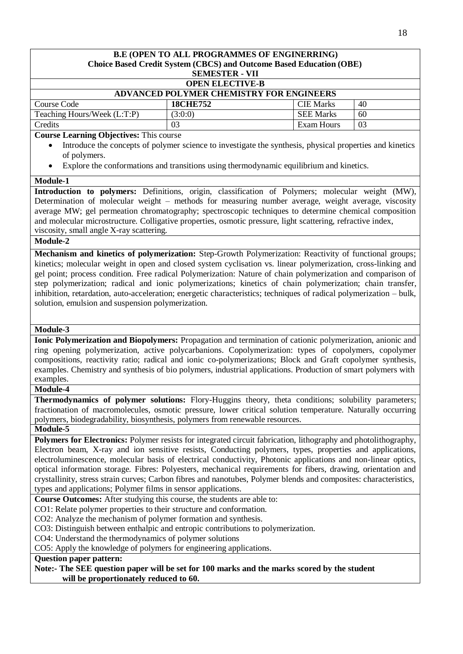| <b>B.E (OPEN TO ALL PROGRAMMES OF ENGINERRING)</b>                                                                  |                                                                                                          |                   |    |  |
|---------------------------------------------------------------------------------------------------------------------|----------------------------------------------------------------------------------------------------------|-------------------|----|--|
| Choice Based Credit System (CBCS) and Outcome Based Education (OBE)<br><b>SEMESTER - VII</b>                        |                                                                                                          |                   |    |  |
|                                                                                                                     | <b>OPEN ELECTIVE-B</b>                                                                                   |                   |    |  |
|                                                                                                                     | <b>ADVANCED POLYMER CHEMISTRY FOR ENGINEERS</b>                                                          |                   |    |  |
| Course Code                                                                                                         | <b>18CHE752</b>                                                                                          | <b>CIE Marks</b>  | 40 |  |
| Teaching Hours/Week (L:T:P)                                                                                         | (3:0:0)                                                                                                  | <b>SEE Marks</b>  | 60 |  |
| Credits                                                                                                             | 03                                                                                                       | <b>Exam Hours</b> | 03 |  |
| <b>Course Learning Objectives: This course</b>                                                                      |                                                                                                          |                   |    |  |
|                                                                                                                     | Introduce the concepts of polymer science to investigate the synthesis, physical properties and kinetics |                   |    |  |
| of polymers.                                                                                                        |                                                                                                          |                   |    |  |
|                                                                                                                     | Explore the conformations and transitions using thermodynamic equilibrium and kinetics.                  |                   |    |  |
| Module-1                                                                                                            |                                                                                                          |                   |    |  |
| Introduction to polymers: Definitions, origin, classification of Polymers; molecular weight (MW),                   |                                                                                                          |                   |    |  |
| Determination of molecular weight - methods for measuring number average, weight average, viscosity                 |                                                                                                          |                   |    |  |
| average MW; gel permeation chromatography; spectroscopic techniques to determine chemical composition               |                                                                                                          |                   |    |  |
| and molecular microstructure. Colligative properties, osmotic pressure, light scattering, refractive index,         |                                                                                                          |                   |    |  |
| viscosity, small angle X-ray scattering.                                                                            |                                                                                                          |                   |    |  |
| Module-2                                                                                                            |                                                                                                          |                   |    |  |
| Mechanism and kinetics of polymerization: Step-Growth Polymerization: Reactivity of functional groups;              |                                                                                                          |                   |    |  |
| kinetics; molecular weight in open and closed system cyclisation vs. linear polymerization, cross-linking and       |                                                                                                          |                   |    |  |
| gel point; process condition. Free radical Polymerization: Nature of chain polymerization and comparison of         |                                                                                                          |                   |    |  |
| step polymerization; radical and ionic polymerizations; kinetics of chain polymerization; chain transfer,           |                                                                                                          |                   |    |  |
| inhibition, retardation, auto-acceleration; energetic characteristics; techniques of radical polymerization - bulk, |                                                                                                          |                   |    |  |
| solution, emulsion and suspension polymerization.                                                                   |                                                                                                          |                   |    |  |
|                                                                                                                     |                                                                                                          |                   |    |  |
|                                                                                                                     |                                                                                                          |                   |    |  |
| Module-3                                                                                                            |                                                                                                          |                   |    |  |
| Ionic Polymerization and Biopolymers: Propagation and termination of cationic polymerization, anionic and           |                                                                                                          |                   |    |  |
| ring opening polymerization, active polycarbanions. Copolymerization: types of copolymers, copolymer                |                                                                                                          |                   |    |  |
| compositions, reactivity ratio; radical and ionic co-polymerizations; Block and Graft copolymer synthesis,          |                                                                                                          |                   |    |  |
| examples. Chemistry and synthesis of bio polymers, industrial applications. Production of smart polymers with       |                                                                                                          |                   |    |  |
| examples.                                                                                                           |                                                                                                          |                   |    |  |
| Module-4                                                                                                            |                                                                                                          |                   |    |  |
| Thermodynamics of polymer solutions: Flory-Huggins theory, theta conditions; solubility parameters;                 |                                                                                                          |                   |    |  |
| fractionation of macromolecules, osmotic pressure, lower critical solution temperature. Naturally occurring         |                                                                                                          |                   |    |  |
| polymers, biodegradability, biosynthesis, polymers from renewable resources.                                        |                                                                                                          |                   |    |  |
| <b>Module-5</b>                                                                                                     |                                                                                                          |                   |    |  |
| Polymers for Electronics: Polymer resists for integrated circuit fabrication, lithography and photolithography,     |                                                                                                          |                   |    |  |
| Electron beam, X-ray and ion sensitive resists, Conducting polymers, types, properties and applications,            |                                                                                                          |                   |    |  |
| electroluminescence, molecular basis of electrical conductivity, Photonic applications and non-linear optics,       |                                                                                                          |                   |    |  |
| optical information storage. Fibres: Polyesters, mechanical requirements for fibers, drawing, orientation and       |                                                                                                          |                   |    |  |
| crystallinity, stress strain curves; Carbon fibres and nanotubes, Polymer blends and composites: characteristics,   |                                                                                                          |                   |    |  |
| types and applications; Polymer films in sensor applications.                                                       |                                                                                                          |                   |    |  |
| Course Outcomes: After studying this course, the students are able to:                                              |                                                                                                          |                   |    |  |
| CO1: Relate polymer properties to their structure and conformation.                                                 |                                                                                                          |                   |    |  |
| CO2: Analyze the mechanism of polymer formation and synthesis.                                                      |                                                                                                          |                   |    |  |
| CO3: Distinguish between enthalpic and entropic contributions to polymerization.                                    |                                                                                                          |                   |    |  |
| CO4: Understand the thermodynamics of polymer solutions                                                             |                                                                                                          |                   |    |  |
| CO5: Apply the knowledge of polymers for engineering applications.                                                  |                                                                                                          |                   |    |  |
| <b>Question paper pattern:</b>                                                                                      |                                                                                                          |                   |    |  |
| Note:- The SEE question paper will be set for 100 marks and the marks scored by the student                         |                                                                                                          |                   |    |  |
| will be proportionately reduced to 60.                                                                              |                                                                                                          |                   |    |  |
|                                                                                                                     |                                                                                                          |                   |    |  |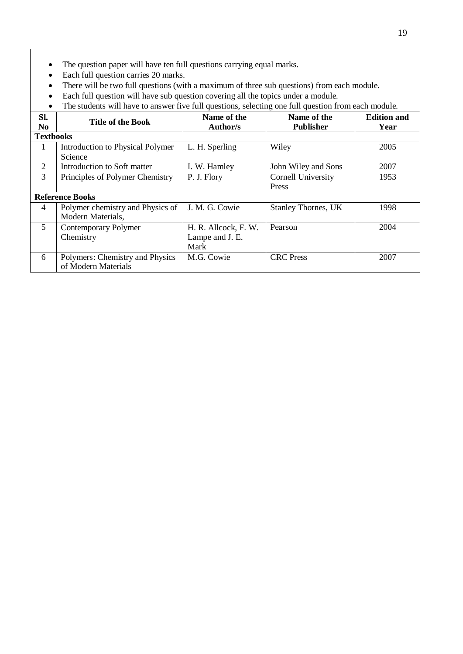- The question paper will have ten full questions carrying equal marks.
- Each full question carries 20 marks.
- There will be two full questions (with a maximum of three sub questions) from each module.
- Each full question will have sub question covering all the topics under a module.
- The students will have to answer five full questions, selecting one full question from each module.

| SI.<br>No              | <b>Title of the Book</b>                | Name of the<br>Author/s | Name of the<br><b>Publisher</b> | <b>Edition and</b><br>Year |
|------------------------|-----------------------------------------|-------------------------|---------------------------------|----------------------------|
| <b>Textbooks</b>       |                                         |                         |                                 |                            |
| 1                      | <b>Introduction to Physical Polymer</b> | L. H. Sperling          | Wiley                           | 2005                       |
|                        | Science                                 |                         |                                 |                            |
| 2                      | Introduction to Soft matter             | I. W. Hamley            | John Wiley and Sons             | 2007                       |
| 3                      | Principles of Polymer Chemistry         | P. J. Flory             | Cornell University              | 1953                       |
|                        |                                         |                         | Press                           |                            |
| <b>Reference Books</b> |                                         |                         |                                 |                            |
| 4                      | Polymer chemistry and Physics of        | J. M. G. Cowie          | <b>Stanley Thornes, UK</b>      | 1998                       |
|                        | Modern Materials,                       |                         |                                 |                            |
| 5                      | <b>Contemporary Polymer</b>             | H. R. Allcock, F. W.    | Pearson                         | 2004                       |
|                        | Chemistry                               | Lampe and J. E.         |                                 |                            |
|                        |                                         | Mark                    |                                 |                            |
| 6                      | Polymers: Chemistry and Physics         | M.G. Cowie              | <b>CRC</b> Press                | 2007                       |
|                        | of Modern Materials                     |                         |                                 |                            |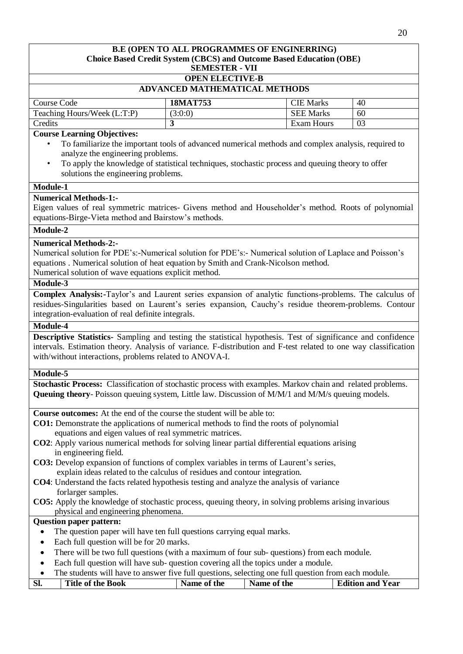### **B.E (OPEN TO ALL PROGRAMMES OF ENGINERRING) Choice Based Credit System (CBCS) and Outcome Based Education (OBE) SEMESTER - VII OPEN ELECTIVE-B ADVANCED MATHEMATICAL METHODS** Course Code **18MAT753** CIE Marks 40 Teaching Hours/Week  $(L:T:P)$  (3:0:0) SEE Marks 60 **Credits 3** Exam Hours 03 **Course Learning Objectives:** • To familiarize the important tools of advanced numerical methods and complex analysis, required to analyze the engineering problems. • To apply the knowledge of statistical techniques, stochastic process and queuing theory to offer solutions the engineering problems. **Module-1 Numerical Methods-1:-** Eigen values of real symmetric matrices- Givens method and Householder's method. Roots of polynomial equations-Birge-Vieta method and Bairstow's methods. **Module-2 Numerical Methods-2:-** Numerical solution for PDE's:-Numerical solution for PDE's:- Numerical solution of Laplace and Poisson's equations . Numerical solution of heat equation by Smith and Crank-Nicolson method. Numerical solution of wave equations explicit method. **Module-3 Complex Analysis:-**Taylor's and Laurent series expansion of analytic functions-problems. The calculus of residues-Singularities based on Laurent's series expansion, Cauchy's residue theorem-problems. Contour integration-evaluation of real definite integrals. **Module-4 Descriptive Statistics-** Sampling and testing the statistical hypothesis. Test of significance and confidence intervals. Estimation theory. Analysis of variance. F-distribution and F-test related to one way classification with/without interactions, problems related to ANOVA-I. **Module-5 Stochastic Process:** Classification of stochastic process with examples. Markov chain and related problems. **Queuing theory**- Poisson queuing system, Little law. Discussion of M/M/1 and M/M/s queuing models. **Course outcomes:** At the end of the course the student will be able to: **CO1:** Demonstrate the applications of numerical methods to find the roots of polynomial equations and eigen values of real symmetric matrices. **CO2**: Apply various numerical methods for solving linear partial differential equations arising in engineering field. **CO3:** Develop expansion of functions of complex variables in terms of Laurent's series, explain ideas related to the calculus of residues and contour integration. **CO4**: Understand the facts related hypothesis testing and analyze the analysis of variance forlarger samples. **CO5:** Apply the knowledge of stochastic process, queuing theory, in solving problems arising invarious physical and engineering phenomena. **Question paper pattern:** The question paper will have ten full questions carrying equal marks. • Each full question will be for 20 marks. • There will be two full questions (with a maximum of four sub-questions) from each module. Each full question will have sub- question covering all the topics under a module. The students will have to answer five full questions, selecting one full question from each module. **Sl. Title of the Book Name of the Name of the Edition and Year**